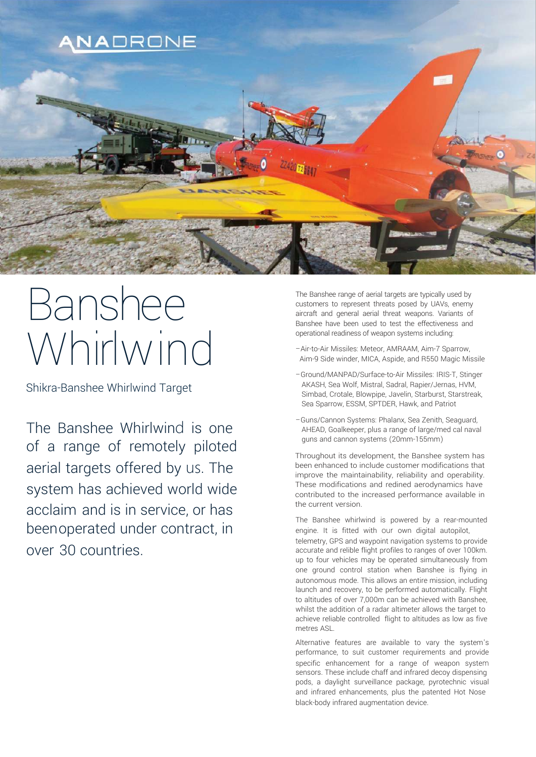

# Banshee Sperational readiness of weapon systems including:<br>
The Microchir Missiles: Meteor, AMRAAM, Aim-7 Sparrow,<br>
Aim-9 Side winder, MICA, Aspide, and R550 Magic Mis

Shikra-Banshee Whirlwind Target

The Banshee Whirlwind is one of a range of remotely piloted aerial targets offered by us. The system has achieved world wide acclaim and is in service, or has beenoperated under contract, in over 30 countries.

The Banshee range of aerial targets are typically used by customers to represent threats posed by UAVs, enemy aircraft and general aerial threat weapons. Variants of Banshee have been used to test the effectiveness and operational readiness of weapon systems including:

- Aim-9 Side winder, MICA, Aspide, and R550 Magic Missile
- –Ground/MANPAD/Surface-to-Air Missiles: IRIS-T, Stinger AKASH, Sea Wolf, Mistral, Sadral, Rapier/Jernas, HVM, Simbad, Crotale, Blowpipe, Javelin, Starburst, Starstreak, Sea Sparrow, ESSM, SPTDER, Hawk, and Patriot
- –Guns/Cannon Systems: Phalanx, Sea Zenith, Seaguard, AHEAD, Goalkeeper, plus a range of large/med cal naval guns and cannon systems (20mm-155mm)

Throughout its development, the Banshee system has been enhanced to include customer modifications that improve the maintainability, reliability and operability. These modifications and redined aerodynamics have contributed to the increased performance available in the current version.

The Banshee whirlwind is powered by a rear-mounted engine. It is fitted with our own digital autopilot, telemetry, GPS and waypoint navigation systems to provide accurate and relible flight profiles to ranges of over 100km. up to four vehicles may be operated simultaneously from one ground control station when Banshee is flying in autonomous mode. This allows an entire mission, including launch and recovery, to be performed automatically. Flight to altitudes of over 7,000m can be achieved with Banshee, whilst the addition of a radar altimeter allows the target to achieve reliable controlled flight to altitudes as low as five metres ASL.

Alternative features are available to vary the system's performance, to suit customer requirements and provide specific enhancement for a range of weapon system sensors. These include chaff and infrared decoy dispensing pods, a daylight surveillance package, pyrotechnic visual and infrared enhancements, plus the patented Hot Nose black-body infrared augmentation device.